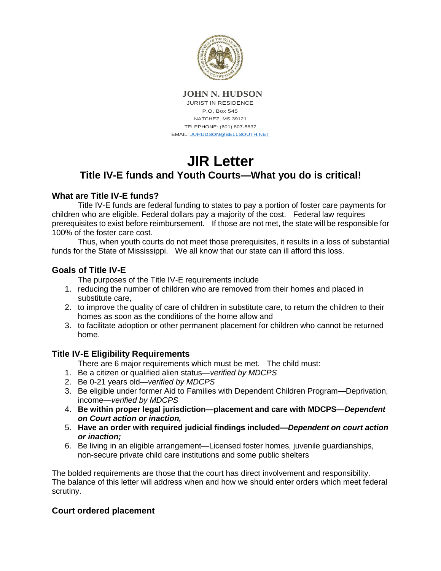

**JOHN N. HUDSON** JURIST IN RESIDENCE P.O. Box 545 NATCHEZ, MS 39121 TELEPHONE: (601) 807-5837 EMAIL[: JUHUDSON@BELLSOUTH.NET](mailto:JUHUDSON@BELLSOUTH.NET)

# **JIR Letter Title IV-E funds and Youth Courts—What you do is critical!**

#### **What are Title IV-E funds?**

Title IV-E funds are federal funding to states to pay a portion of foster care payments for children who are eligible. Federal dollars pay a majority of the cost. Federal law requires prerequisites to exist before reimbursement. If those are not met, the state will be responsible for 100% of the foster care cost.

Thus, when youth courts do not meet those prerequisites, it results in a loss of substantial funds for the State of Mississippi. We all know that our state can ill afford this loss.

## **Goals of Title IV-E**

The purposes of the Title IV-E requirements include

- 1. reducing the number of children who are removed from their homes and placed in substitute care,
- 2. to improve the quality of care of children in substitute care, to return the children to their homes as soon as the conditions of the home allow and
- 3. to facilitate adoption or other permanent placement for children who cannot be returned home.

## **Title IV-E Eligibility Requirements**

There are 6 major requirements which must be met. The child must:

- 1. Be a citizen or qualified alien status—*verified by MDCPS*
- 2. Be 0-21 years old—*verified by MDCPS*
- 3. Be eligible under former Aid to Families with Dependent Children Program—Deprivation, income—*verified by MDCPS*
- 4. **Be within proper legal jurisdiction—placement and care with MDCPS***—Dependent on Court action or inaction,*
- 5. **Have an order with required judicial findings included***—Dependent on court action or inaction;*
- 6. Be living in an eligible arrangement—Licensed foster homes, juvenile guardianships, non-secure private child care institutions and some public shelters

The bolded requirements are those that the court has direct involvement and responsibility. The balance of this letter will address when and how we should enter orders which meet federal scrutiny.

## **Court ordered placement**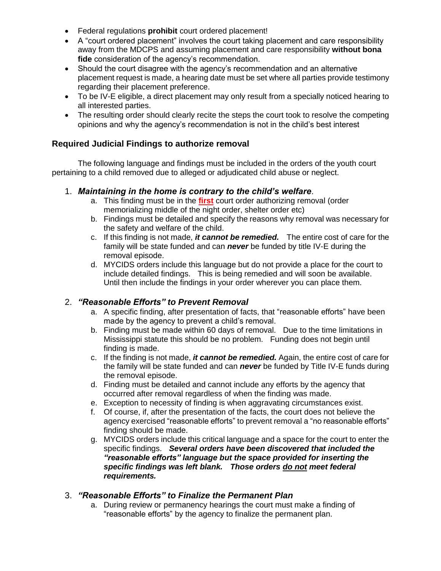- Federal regulations **prohibit** court ordered placement!
- A "court ordered placement" involves the court taking placement and care responsibility away from the MDCPS and assuming placement and care responsibility **without bona fide** consideration of the agency's recommendation.
- Should the court disagree with the agency's recommendation and an alternative placement request is made, a hearing date must be set where all parties provide testimony regarding their placement preference.
- To be IV-E eligible, a direct placement may only result from a specially noticed hearing to all interested parties.
- The resulting order should clearly recite the steps the court took to resolve the competing opinions and why the agency's recommendation is not in the child's best interest

#### **Required Judicial Findings to authorize removal**

The following language and findings must be included in the orders of the youth court pertaining to a child removed due to alleged or adjudicated child abuse or neglect.

- 1. *Maintaining in the home is contrary to the child's welfare*.
	- a. This finding must be in the **first** court order authorizing removal (order memorializing middle of the night order, shelter order etc)
	- b. Findings must be detailed and specify the reasons why removal was necessary for the safety and welfare of the child.
	- c. If this finding is not made, *it cannot be remedied.* The entire cost of care for the family will be state funded and can *never* be funded by title IV-E during the removal episode.
	- d. MYCIDS orders include this language but do not provide a place for the court to include detailed findings. This is being remedied and will soon be available. Until then include the findings in your order wherever you can place them.

#### 2. *"Reasonable Efforts" to Prevent Removal*

- a. A specific finding, after presentation of facts, that "reasonable efforts" have been made by the agency to prevent a child's removal.
- b. Finding must be made within 60 days of removal. Due to the time limitations in Mississippi statute this should be no problem. Funding does not begin until finding is made.
- c. If the finding is not made, *it cannot be remedied.* Again, the entire cost of care for the family will be state funded and can *never* be funded by Title IV-E funds during the removal episode.
- d. Finding must be detailed and cannot include any efforts by the agency that occurred after removal regardless of when the finding was made.
- e. Exception to necessity of finding is when aggravating circumstances exist.
- f. Of course, if, after the presentation of the facts, the court does not believe the agency exercised "reasonable efforts" to prevent removal a "no reasonable efforts" finding should be made.
- g. MYCIDS orders include this critical language and a space for the court to enter the specific findings. *Several orders have been discovered that included the "reasonable efforts" language but the space provided for inserting the specific findings was left blank. Those orders do not meet federal requirements.*

#### 3. *"Reasonable Efforts" to Finalize the Permanent Plan*

a. During review or permanency hearings the court must make a finding of "reasonable efforts" by the agency to finalize the permanent plan.